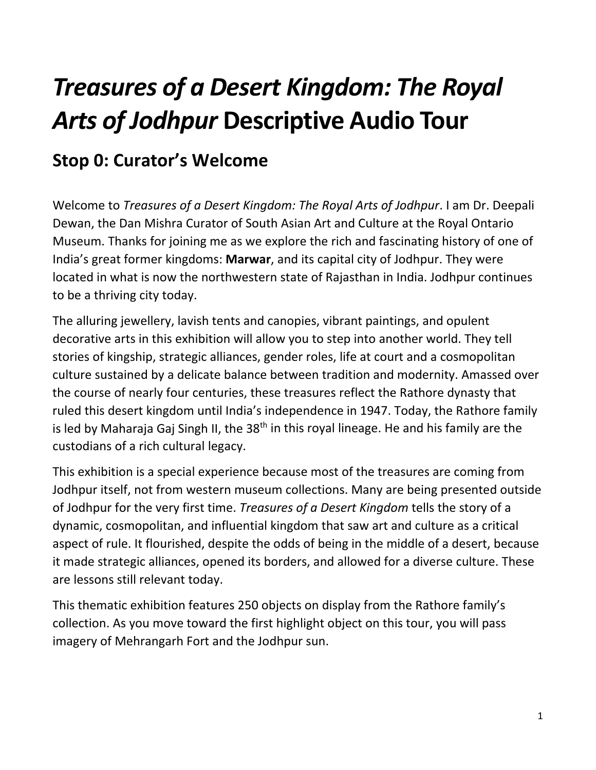# *Treasures of a Desert Kingdom: The Royal Arts of Jodhpur* **Descriptive Audio Tour**

### **Stop 0: Curator's Welcome**

Welcome to *Treasures of a Desert Kingdom: The Royal Arts of Jodhpur*. I am Dr. Deepali Dewan, the Dan Mishra Curator of South Asian Art and Culture at the Royal Ontario Museum. Thanks for joining me as we explore the rich and fascinating history of one of India's great former kingdoms: **Marwar**, and its capital city of Jodhpur. They were located in what is now the northwestern state of Rajasthan in India. Jodhpur continues to be a thriving city today.

The alluring jewellery, lavish tents and canopies, vibrant paintings, and opulent decorative arts in this exhibition will allow you to step into another world. They tell stories of kingship, strategic alliances, gender roles, life at court and a cosmopolitan culture sustained by a delicate balance between tradition and modernity. Amassed over the course of nearly four centuries, these treasures reflect the Rathore dynasty that ruled this desert kingdom until India's independence in 1947. Today, the Rathore family is led by Maharaja Gaj Singh II, the  $38<sup>th</sup>$  in this royal lineage. He and his family are the custodians of a rich cultural legacy.

This exhibition is a special experience because most of the treasures are coming from Jodhpur itself, not from western museum collections. Many are being presented outside of Jodhpur for the very first time. *Treasures of a Desert Kingdom* tells the story of a dynamic, cosmopolitan, and influential kingdom that saw art and culture as a critical aspect of rule. It flourished, despite the odds of being in the middle of a desert, because it made strategic alliances, opened its borders, and allowed for a diverse culture. These are lessons still relevant today.

This thematic exhibition features 250 objects on display from the Rathore family's collection. As you move toward the first highlight object on this tour, you will pass imagery of Mehrangarh Fort and the Jodhpur sun.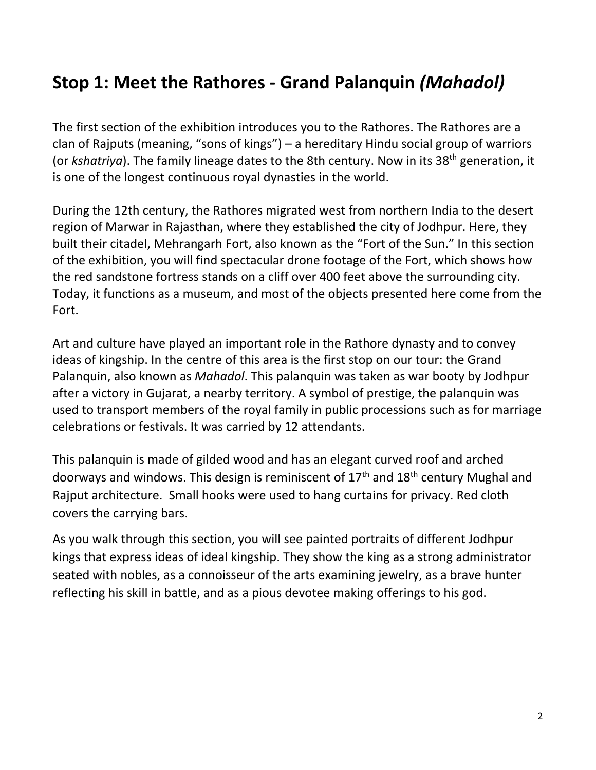### **Stop 1: Meet the Rathores - Grand Palanquin** *(Mahadol)*

The first section of the exhibition introduces you to the Rathores. The Rathores are a clan of Rajputs (meaning, "sons of kings") – a hereditary Hindu social group of warriors (or *kshatriya*). The family lineage dates to the 8th century. Now in its 38<sup>th</sup> generation, it is one of the longest continuous royal dynasties in the world.

During the 12th century, the Rathores migrated west from northern India to the desert region of Marwar in Rajasthan, where they established the city of Jodhpur. Here, they built their citadel, Mehrangarh Fort, also known as the "Fort of the Sun." In this section of the exhibition, you will find spectacular drone footage of the Fort, which shows how the red sandstone fortress stands on a cliff over 400 feet above the surrounding city. Today, it functions as a museum, and most of the objects presented here come from the Fort.

Art and culture have played an important role in the Rathore dynasty and to convey ideas of kingship. In the centre of this area is the first stop on our tour: the Grand Palanquin, also known as *Mahadol*. This palanquin was taken as war booty by Jodhpur after a victory in Gujarat, a nearby territory. A symbol of prestige, the palanquin was used to transport members of the royal family in public processions such as for marriage celebrations or festivals. It was carried by 12 attendants.

This palanquin is made of gilded wood and has an elegant curved roof and arched doorways and windows. This design is reminiscent of  $17<sup>th</sup>$  and  $18<sup>th</sup>$  century Mughal and Rajput architecture. Small hooks were used to hang curtains for privacy. Red cloth covers the carrying bars.

As you walk through this section, you will see painted portraits of different Jodhpur kings that express ideas of ideal kingship. They show the king as a strong administrator seated with nobles, as a connoisseur of the arts examining jewelry, as a brave hunter reflecting his skill in battle, and as a pious devotee making offerings to his god.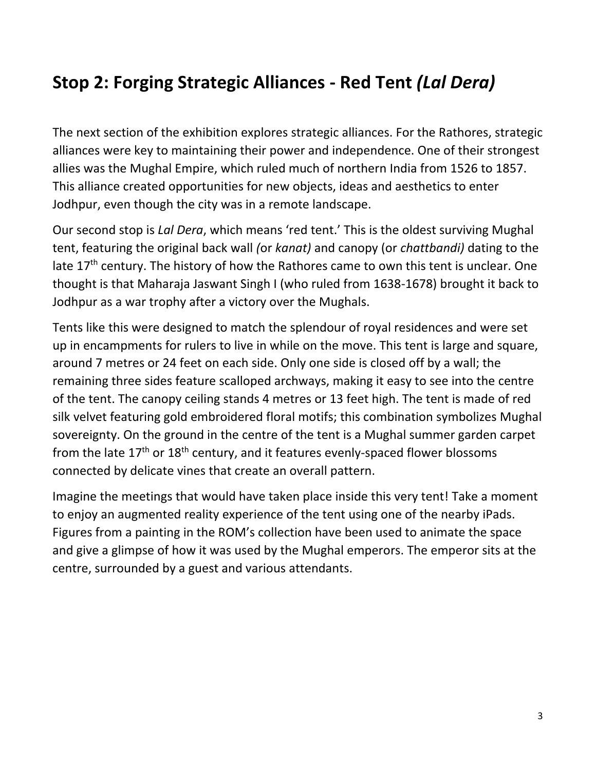### **Stop 2: Forging Strategic Alliances - Red Tent** *(Lal Dera)*

The next section of the exhibition explores strategic alliances. For the Rathores, strategic alliances were key to maintaining their power and independence. One of their strongest allies was the Mughal Empire, which ruled much of northern India from 1526 to 1857. This alliance created opportunities for new objects, ideas and aesthetics to enter Jodhpur, even though the city was in a remote landscape.

Our second stop is *Lal Dera*, which means 'red tent.' This is the oldest surviving Mughal tent, featuring the original back wall *(*or *kanat)* and canopy (or *chattbandi)* dating to the late  $17<sup>th</sup>$  century. The history of how the Rathores came to own this tent is unclear. One thought is that Maharaja Jaswant Singh I (who ruled from 1638-1678) brought it back to Jodhpur as a war trophy after a victory over the Mughals.

Tents like this were designed to match the splendour of royal residences and were set up in encampments for rulers to live in while on the move. This tent is large and square, around 7 metres or 24 feet on each side. Only one side is closed off by a wall; the remaining three sides feature scalloped archways, making it easy to see into the centre of the tent. The canopy ceiling stands 4 metres or 13 feet high. The tent is made of red silk velvet featuring gold embroidered floral motifs; this combination symbolizes Mughal sovereignty. On the ground in the centre of the tent is a Mughal summer garden carpet from the late  $17<sup>th</sup>$  or  $18<sup>th</sup>$  century, and it features evenly-spaced flower blossoms connected by delicate vines that create an overall pattern.

Imagine the meetings that would have taken place inside this very tent! Take a moment to enjoy an augmented reality experience of the tent using one of the nearby iPads. Figures from a painting in the ROM's collection have been used to animate the space and give a glimpse of how it was used by the Mughal emperors. The emperor sits at the centre, surrounded by a guest and various attendants.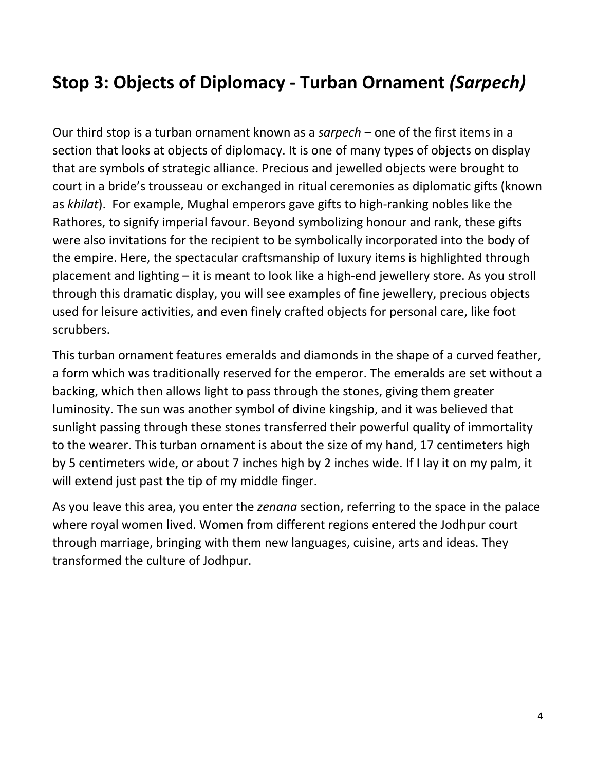### **Stop 3: Objects of Diplomacy - Turban Ornament** *(Sarpech)*

Our third stop is a turban ornament known as a *sarpech –* one of the first items in a section that looks at objects of diplomacy. It is one of many types of objects on display that are symbols of strategic alliance. Precious and jewelled objects were brought to court in a bride's trousseau or exchanged in ritual ceremonies as diplomatic gifts (known as *khilat*). For example, Mughal emperors gave gifts to high-ranking nobles like the Rathores, to signify imperial favour. Beyond symbolizing honour and rank, these gifts were also invitations for the recipient to be symbolically incorporated into the body of the empire. Here, the spectacular craftsmanship of luxury items is highlighted through placement and lighting – it is meant to look like a high-end jewellery store. As you stroll through this dramatic display, you will see examples of fine jewellery, precious objects used for leisure activities, and even finely crafted objects for personal care, like foot scrubbers.

This turban ornament features emeralds and diamonds in the shape of a curved feather, a form which was traditionally reserved for the emperor. The emeralds are set without a backing, which then allows light to pass through the stones, giving them greater luminosity. The sun was another symbol of divine kingship, and it was believed that sunlight passing through these stones transferred their powerful quality of immortality to the wearer. This turban ornament is about the size of my hand, 17 centimeters high by 5 centimeters wide, or about 7 inches high by 2 inches wide. If I lay it on my palm, it will extend just past the tip of my middle finger.

As you leave this area, you enter the *zenana* section, referring to the space in the palace where royal women lived. Women from different regions entered the Jodhpur court through marriage, bringing with them new languages, cuisine, arts and ideas. They transformed the culture of Jodhpur.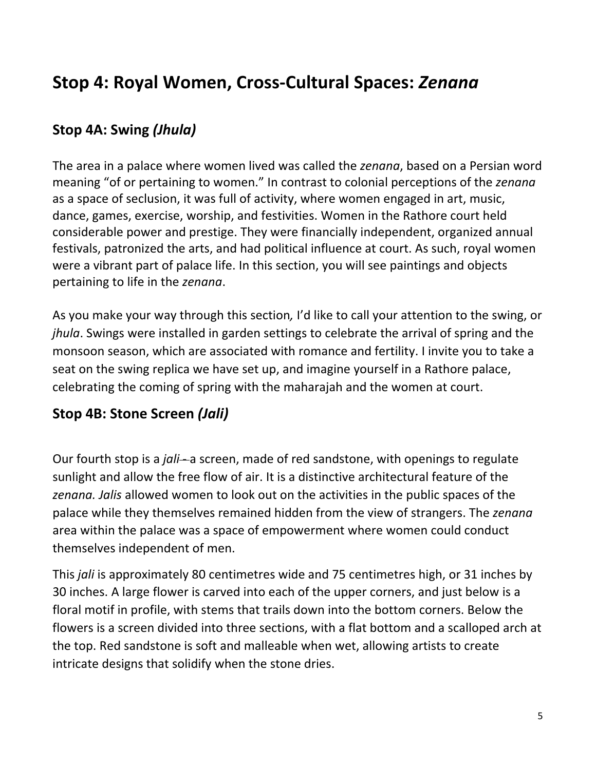### **Stop 4: Royal Women, Cross-Cultural Spaces:** *Zenana*

#### **Stop 4A: Swing** *(Jhula)*

The area in a palace where women lived was called the *zenana*, based on a Persian word meaning "of or pertaining to women." In contrast to colonial perceptions of the *zenana*  as a space of seclusion, it was full of activity, where women engaged in art, music, dance, games, exercise, worship, and festivities. Women in the Rathore court held considerable power and prestige. They were financially independent, organized annual festivals, patronized the arts, and had political influence at court. As such, royal women were a vibrant part of palace life. In this section, you will see paintings and objects pertaining to life in the *zenana*.

As you make your way through this section*,* I'd like to call your attention to the swing, or *jhula*. Swings were installed in garden settings to celebrate the arrival of spring and the monsoon season, which are associated with romance and fertility. I invite you to take a seat on the swing replica we have set up, and imagine yourself in a Rathore palace, celebrating the coming of spring with the maharajah and the women at court.

#### **Stop 4B: Stone Screen** *(Jali)*

Our fourth stop is a *jali*-a screen, made of red sandstone, with openings to regulate sunlight and allow the free flow of air. It is a distinctive architectural feature of the *zenana. Jalis* allowed women to look out on the activities in the public spaces of the palace while they themselves remained hidden from the view of strangers. The *zenana*  area within the palace was a space of empowerment where women could conduct themselves independent of men.

This *jali* is approximately 80 centimetres wide and 75 centimetres high, or 31 inches by 30 inches. A large flower is carved into each of the upper corners, and just below is a floral motif in profile, with stems that trails down into the bottom corners. Below the flowers is a screen divided into three sections, with a flat bottom and a scalloped arch at the top. Red sandstone is soft and malleable when wet, allowing artists to create intricate designs that solidify when the stone dries.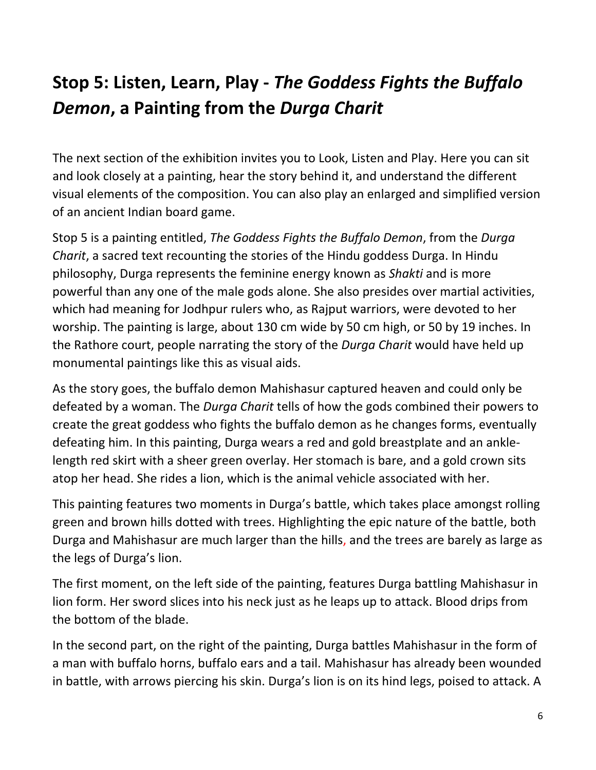## **Stop 5: Listen, Learn, Play -** *The Goddess Fights the Buffalo Demon***, a Painting from the** *Durga Charit*

The next section of the exhibition invites you to Look, Listen and Play. Here you can sit and look closely at a painting, hear the story behind it, and understand the different visual elements of the composition. You can also play an enlarged and simplified version of an ancient Indian board game.

Stop 5 is a painting entitled, *The Goddess Fights the Buffalo Demon*, from the *Durga Charit*, a sacred text recounting the stories of the Hindu goddess Durga. In Hindu philosophy, Durga represents the feminine energy known as *Shakti* and is more powerful than any one of the male gods alone. She also presides over martial activities, which had meaning for Jodhpur rulers who, as Rajput warriors, were devoted to her worship. The painting is large, about 130 cm wide by 50 cm high, or 50 by 19 inches. In the Rathore court, people narrating the story of the *Durga Charit* would have held up monumental paintings like this as visual aids.

As the story goes, the buffalo demon Mahishasur captured heaven and could only be defeated by a woman. The *Durga Charit* tells of how the gods combined their powers to create the great goddess who fights the buffalo demon as he changes forms, eventually defeating him. In this painting, Durga wears a red and gold breastplate and an anklelength red skirt with a sheer green overlay. Her stomach is bare, and a gold crown sits atop her head. She rides a lion, which is the animal vehicle associated with her.

This painting features two moments in Durga's battle, which takes place amongst rolling green and brown hills dotted with trees. Highlighting the epic nature of the battle, both Durga and Mahishasur are much larger than the hills, and the trees are barely as large as the legs of Durga's lion.

The first moment, on the left side of the painting, features Durga battling Mahishasur in lion form. Her sword slices into his neck just as he leaps up to attack. Blood drips from the bottom of the blade.

In the second part, on the right of the painting, Durga battles Mahishasur in the form of a man with buffalo horns, buffalo ears and a tail. Mahishasur has already been wounded in battle, with arrows piercing his skin. Durga's lion is on its hind legs, poised to attack. A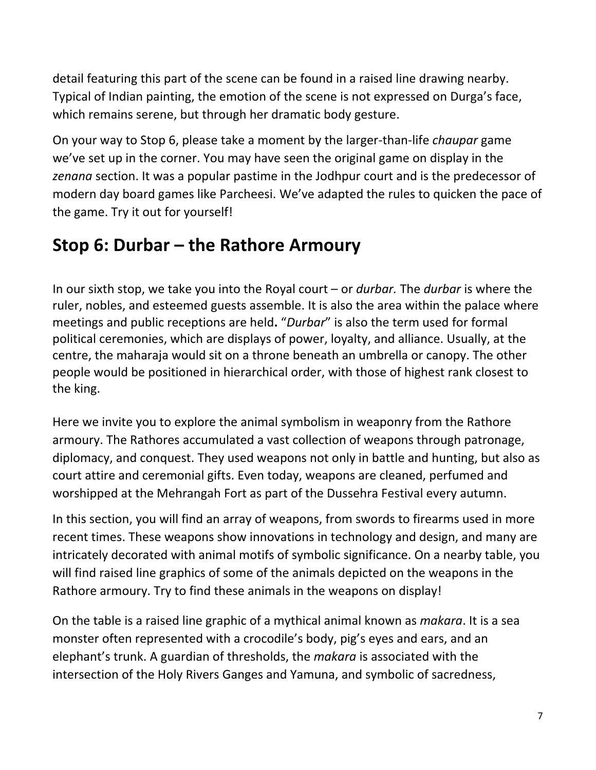detail featuring this part of the scene can be found in a raised line drawing nearby. Typical of Indian painting, the emotion of the scene is not expressed on Durga's face, which remains serene, but through her dramatic body gesture.

On your way to Stop 6, please take a moment by the larger-than-life *chaupar* game we've set up in the corner. You may have seen the original game on display in the *zenana* section. It was a popular pastime in the Jodhpur court and is the predecessor of modern day board games like Parcheesi. We've adapted the rules to quicken the pace of the game. Try it out for yourself!

### **Stop 6: Durbar – the Rathore Armoury**

In our sixth stop, we take you into the Royal court – or *durbar.* The *durbar* is where the ruler, nobles, and esteemed guests assemble. It is also the area within the palace where meetings and public receptions are held**.** "*Durbar*" is also the term used for formal political ceremonies, which are displays of power, loyalty, and alliance. Usually, at the centre, the maharaja would sit on a throne beneath an umbrella or canopy. The other people would be positioned in hierarchical order, with those of highest rank closest to the king.

Here we invite you to explore the animal symbolism in weaponry from the Rathore armoury. The Rathores accumulated a vast collection of weapons through patronage, diplomacy, and conquest. They used weapons not only in battle and hunting, but also as court attire and ceremonial gifts. Even today, weapons are cleaned, perfumed and worshipped at the Mehrangah Fort as part of the Dussehra Festival every autumn.

In this section, you will find an array of weapons, from swords to firearms used in more recent times. These weapons show innovations in technology and design, and many are intricately decorated with animal motifs of symbolic significance. On a nearby table, you will find raised line graphics of some of the animals depicted on the weapons in the Rathore armoury. Try to find these animals in the weapons on display!

On the table is a raised line graphic of a mythical animal known as *makara*. It is a sea monster often represented with a crocodile's body, pig's eyes and ears, and an elephant's trunk. A guardian of thresholds, the *makara* is associated with the intersection of the Holy Rivers Ganges and Yamuna, and symbolic of sacredness,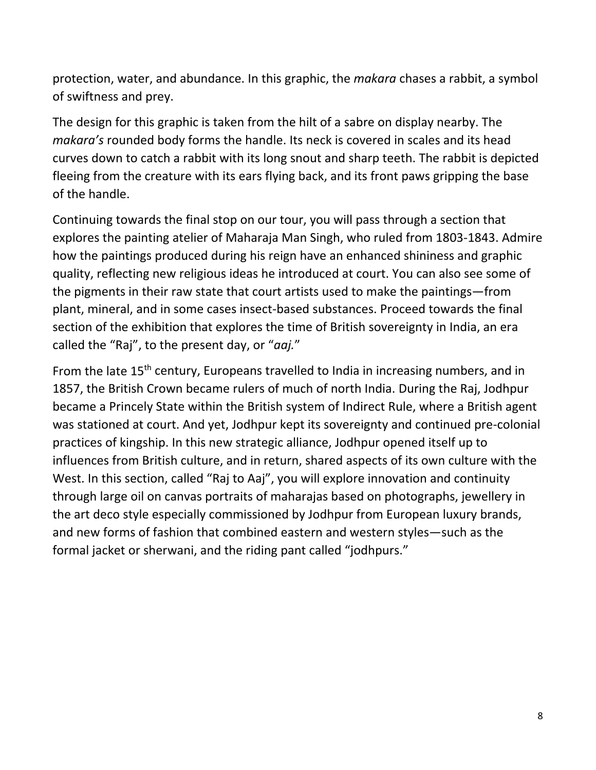protection, water, and abundance. In this graphic, the *makara* chases a rabbit, a symbol of swiftness and prey.

The design for this graphic is taken from the hilt of a sabre on display nearby. The *makara's* rounded body forms the handle. Its neck is covered in scales and its head curves down to catch a rabbit with its long snout and sharp teeth. The rabbit is depicted fleeing from the creature with its ears flying back, and its front paws gripping the base of the handle.

Continuing towards the final stop on our tour, you will pass through a section that explores the painting atelier of Maharaja Man Singh, who ruled from 1803-1843. Admire how the paintings produced during his reign have an enhanced shininess and graphic quality, reflecting new religious ideas he introduced at court. You can also see some of the pigments in their raw state that court artists used to make the paintings—from plant, mineral, and in some cases insect-based substances. Proceed towards the final section of the exhibition that explores the time of British sovereignty in India, an era called the "Raj", to the present day, or "*aaj.*"

From the late 15<sup>th</sup> century, Europeans travelled to India in increasing numbers, and in 1857, the British Crown became rulers of much of north India. During the Raj, Jodhpur became a Princely State within the British system of Indirect Rule, where a British agent was stationed at court. And yet, Jodhpur kept its sovereignty and continued pre-colonial practices of kingship. In this new strategic alliance, Jodhpur opened itself up to influences from British culture, and in return, shared aspects of its own culture with the West. In this section, called "Raj to Aaj", you will explore innovation and continuity through large oil on canvas portraits of maharajas based on photographs, jewellery in the art deco style especially commissioned by Jodhpur from European luxury brands, and new forms of fashion that combined eastern and western styles—such as the formal jacket or sherwani, and the riding pant called "jodhpurs."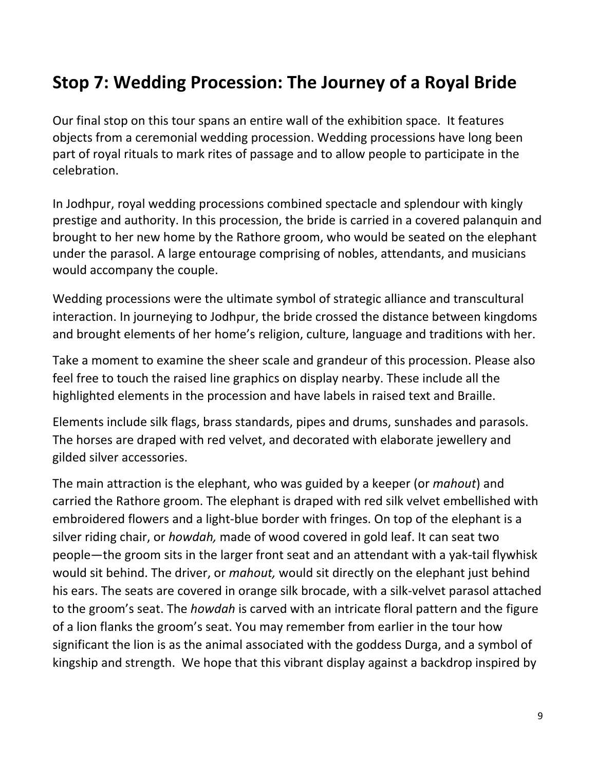### **Stop 7: Wedding Procession: The Journey of a Royal Bride**

Our final stop on this tour spans an entire wall of the exhibition space. It features objects from a ceremonial wedding procession. Wedding processions have long been part of royal rituals to mark rites of passage and to allow people to participate in the celebration.

In Jodhpur, royal wedding processions combined spectacle and splendour with kingly prestige and authority. In this procession, the bride is carried in a covered palanquin and brought to her new home by the Rathore groom, who would be seated on the elephant under the parasol. A large entourage comprising of nobles, attendants, and musicians would accompany the couple.

Wedding processions were the ultimate symbol of strategic alliance and transcultural interaction. In journeying to Jodhpur, the bride crossed the distance between kingdoms and brought elements of her home's religion, culture, language and traditions with her.

Take a moment to examine the sheer scale and grandeur of this procession. Please also feel free to touch the raised line graphics on display nearby. These include all the highlighted elements in the procession and have labels in raised text and Braille.

Elements include silk flags, brass standards, pipes and drums, sunshades and parasols. The horses are draped with red velvet, and decorated with elaborate jewellery and gilded silver accessories.

The main attraction is the elephant, who was guided by a keeper (or *mahout*) and carried the Rathore groom. The elephant is draped with red silk velvet embellished with embroidered flowers and a light-blue border with fringes. On top of the elephant is a silver riding chair, or *howdah,* made of wood covered in gold leaf. It can seat two people—the groom sits in the larger front seat and an attendant with a yak-tail flywhisk would sit behind. The driver, or *mahout,* would sit directly on the elephant just behind his ears. The seats are covered in orange silk brocade, with a silk-velvet parasol attached to the groom's seat. The *howdah* is carved with an intricate floral pattern and the figure of a lion flanks the groom's seat. You may remember from earlier in the tour how significant the lion is as the animal associated with the goddess Durga, and a symbol of kingship and strength. We hope that this vibrant display against a backdrop inspired by